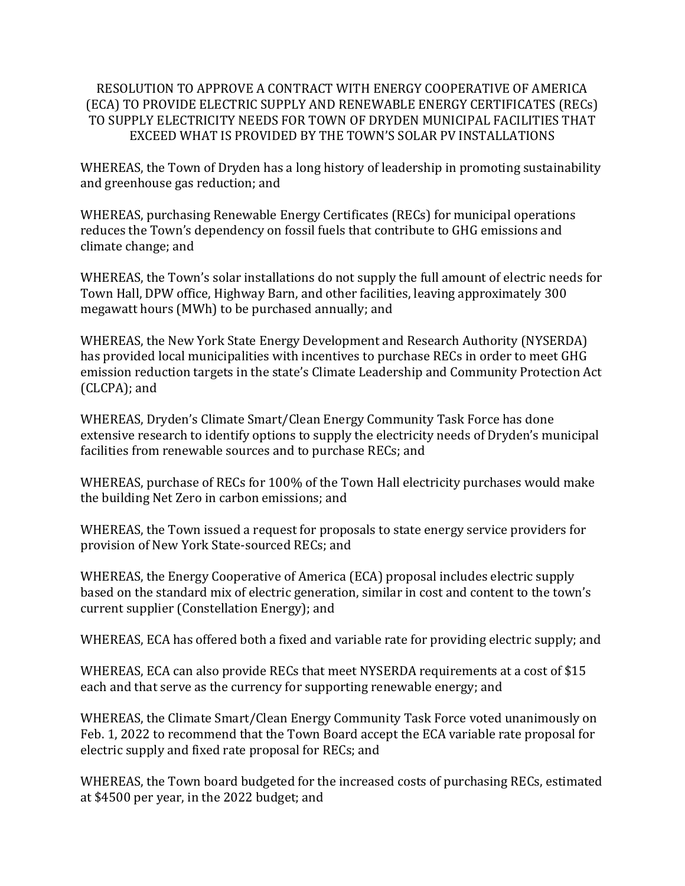## RESOLUTION TO APPROVE A CONTRACT WITH ENERGY COOPERATIVE OF AMERICA (ECA) TO PROVIDE ELECTRIC SUPPLY AND RENEWABLE ENERGY CERTIFICATES (RECs) TO SUPPLY ELECTRICITY NEEDS FOR TOWN OF DRYDEN MUNICIPAL FACILITIES THAT EXCEED WHAT IS PROVIDED BY THE TOWN'S SOLAR PV INSTALLATIONS

WHEREAS, the Town of Dryden has a long history of leadership in promoting sustainability and greenhouse gas reduction; and

WHEREAS, purchasing Renewable Energy Certificates (RECs) for municipal operations reduces the Town's dependency on fossil fuels that contribute to GHG emissions and climate change; and

WHEREAS, the Town's solar installations do not supply the full amount of electric needs for Town Hall, DPW office, Highway Barn, and other facilities, leaving approximately 300 megawatt hours (MWh) to be purchased annually; and

WHEREAS, the New York State Energy Development and Research Authority (NYSERDA) has provided local municipalities with incentives to purchase RECs in order to meet GHG emission reduction targets in the state's Climate Leadership and Community Protection Act (CLCPA); and

WHEREAS, Dryden's Climate Smart/Clean Energy Community Task Force has done extensive research to identify options to supply the electricity needs of Dryden's municipal facilities from renewable sources and to purchase RECs; and

WHEREAS, purchase of RECs for 100% of the Town Hall electricity purchases would make the building Net Zero in carbon emissions; and

WHEREAS, the Town issued a request for proposals to state energy service providers for provision of New York State-sourced RECs; and

WHEREAS, the Energy Cooperative of America (ECA) proposal includes electric supply based on the standard mix of electric generation, similar in cost and content to the town's current supplier (Constellation Energy); and

WHEREAS, ECA has offered both a fixed and variable rate for providing electric supply; and

WHEREAS, ECA can also provide RECs that meet NYSERDA requirements at a cost of \$15 each and that serve as the currency for supporting renewable energy; and

WHEREAS, the Climate Smart/Clean Energy Community Task Force voted unanimously on Feb. 1, 2022 to recommend that the Town Board accept the ECA variable rate proposal for electric supply and fixed rate proposal for RECs; and

WHEREAS, the Town board budgeted for the increased costs of purchasing RECs, estimated at \$4500 per year, in the 2022 budget; and